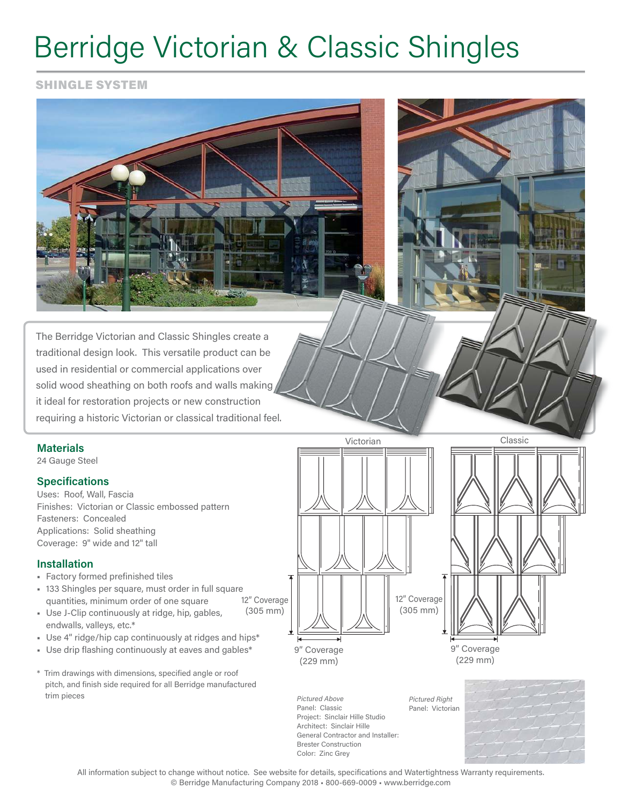# Berridge Victorian & Classic Shingles

SHINGLE SYSTEM



The Berridge Victorian and Classic Shingles create a traditional design look. This versatile product can be used in residential or commercial applications over solid wood sheathing on both roofs and walls making it ideal for restoration projects or new construction requiring a historic Victorian or classical traditional feel.

### **Materials**

24 Gauge Steel

### **Specifications**

Uses: Roof, Wall, Fascia Finishes: Victorian or Classic embossed pattern Fasteners: Concealed Applications: Solid sheathing Coverage: 9" wide and 12" tall

### **Installation**

- Factory formed prefinished tiles
- 12" Coverage ■ 133 Shingles per square, must order in full square quantities, minimum order of one square
- Use J-Clip continuously at ridge, hip, gables, endwalls, valleys, etc.\*
- Use 4" ridge/hip cap continuously at ridges and hips\*
- Use drip flashing continuously at eaves and gables\*
- \* Trim drawings with dimensions, specified angle or roof pitch, and finish side required for all Berridge manufactured trim pieces



Project: Sinclair Hille Studio General Contractor and Installer: *Pictured Right* Panel: Victorian



9" Coverage (229 mm)

All information subject to change without notice. See website for details, specifications and Watertightness Warranty requirements. © Berridge Manufacturing Company 2018 • 800-669-0009 • www.berridge.com

*Pictured Above* Panel: Classic

Architect: Sinclair Hille

Brester Construction Color: Zinc Grey